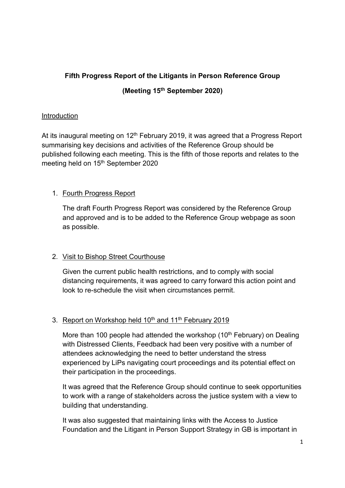# Fifth Progress Report of the Litigants in Person Reference Group (Meeting 15th September 2020)

### Introduction

At its inaugural meeting on  $12<sup>th</sup>$  February 2019, it was agreed that a Progress Report summarising key decisions and activities of the Reference Group should be published following each meeting. This is the fifth of those reports and relates to the meeting held on 15<sup>th</sup> September 2020

# 1. Fourth Progress Report

The draft Fourth Progress Report was considered by the Reference Group and approved and is to be added to the Reference Group webpage as soon as possible.

### 2. Visit to Bishop Street Courthouse

Given the current public health restrictions, and to comply with social distancing requirements, it was agreed to carry forward this action point and look to re-schedule the visit when circumstances permit.

## 3. Report on Workshop held 10<sup>th</sup> and 11<sup>th</sup> February 2019

More than 100 people had attended the workshop (10<sup>th</sup> February) on Dealing with Distressed Clients, Feedback had been very positive with a number of attendees acknowledging the need to better understand the stress experienced by LiPs navigating court proceedings and its potential effect on their participation in the proceedings.

It was agreed that the Reference Group should continue to seek opportunities to work with a range of stakeholders across the justice system with a view to building that understanding.

It was also suggested that maintaining links with the Access to Justice Foundation and the Litigant in Person Support Strategy in GB is important in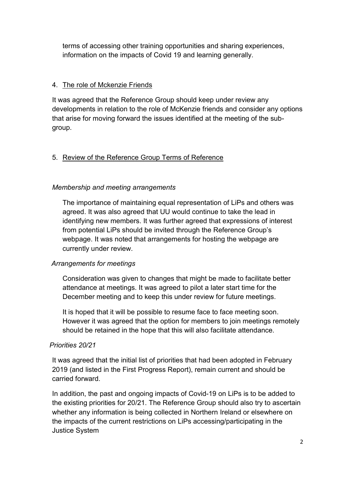terms of accessing other training opportunities and sharing experiences, information on the impacts of Covid 19 and learning generally.

#### 4. The role of Mckenzie Friends

It was agreed that the Reference Group should keep under review any developments in relation to the role of McKenzie friends and consider any options that arise for moving forward the issues identified at the meeting of the subgroup.

# 5. Review of the Reference Group Terms of Reference

### Membership and meeting arrangements

The importance of maintaining equal representation of LiPs and others was agreed. It was also agreed that UU would continue to take the lead in identifying new members. It was further agreed that expressions of interest from potential LiPs should be invited through the Reference Group's webpage. It was noted that arrangements for hosting the webpage are currently under review.

### Arrangements for meetings

Consideration was given to changes that might be made to facilitate better attendance at meetings. It was agreed to pilot a later start time for the December meeting and to keep this under review for future meetings.

It is hoped that it will be possible to resume face to face meeting soon. However it was agreed that the option for members to join meetings remotely should be retained in the hope that this will also facilitate attendance.

### Priorities 20/21

It was agreed that the initial list of priorities that had been adopted in February 2019 (and listed in the First Progress Report), remain current and should be carried forward.

In addition, the past and ongoing impacts of Covid-19 on LiPs is to be added to the existing priorities for 20/21. The Reference Group should also try to ascertain whether any information is being collected in Northern Ireland or elsewhere on the impacts of the current restrictions on LiPs accessing/participating in the Justice System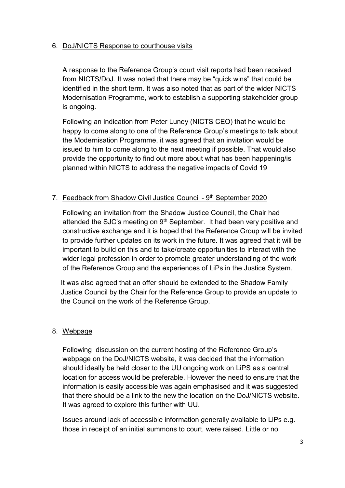#### 6. DoJ/NICTS Response to courthouse visits

A response to the Reference Group's court visit reports had been received from NICTS/DoJ. It was noted that there may be "quick wins" that could be identified in the short term. It was also noted that as part of the wider NICTS Modernisation Programme, work to establish a supporting stakeholder group is ongoing.

Following an indication from Peter Luney (NICTS CEO) that he would be happy to come along to one of the Reference Group's meetings to talk about the Modernisation Programme, it was agreed that an invitation would be issued to him to come along to the next meeting if possible. That would also provide the opportunity to find out more about what has been happening/is planned within NICTS to address the negative impacts of Covid 19

### 7. Feedback from Shadow Civil Justice Council - 9th September 2020

Following an invitation from the Shadow Justice Council, the Chair had attended the SJC's meeting on 9<sup>th</sup> September. It had been very positive and constructive exchange and it is hoped that the Reference Group will be invited to provide further updates on its work in the future. It was agreed that it will be important to build on this and to take/create opportunities to interact with the wider legal profession in order to promote greater understanding of the work of the Reference Group and the experiences of LiPs in the Justice System.

It was also agreed that an offer should be extended to the Shadow Family Justice Council by the Chair for the Reference Group to provide an update to the Council on the work of the Reference Group.

### 8. Webpage

Following discussion on the current hosting of the Reference Group's webpage on the DoJ/NICTS website, it was decided that the information should ideally be held closer to the UU ongoing work on LiPS as a central location for access would be preferable. However the need to ensure that the information is easily accessible was again emphasised and it was suggested that there should be a link to the new the location on the DoJ/NICTS website. It was agreed to explore this further with UU.

Issues around lack of accessible information generally available to LiPs e.g. those in receipt of an initial summons to court, were raised. Little or no